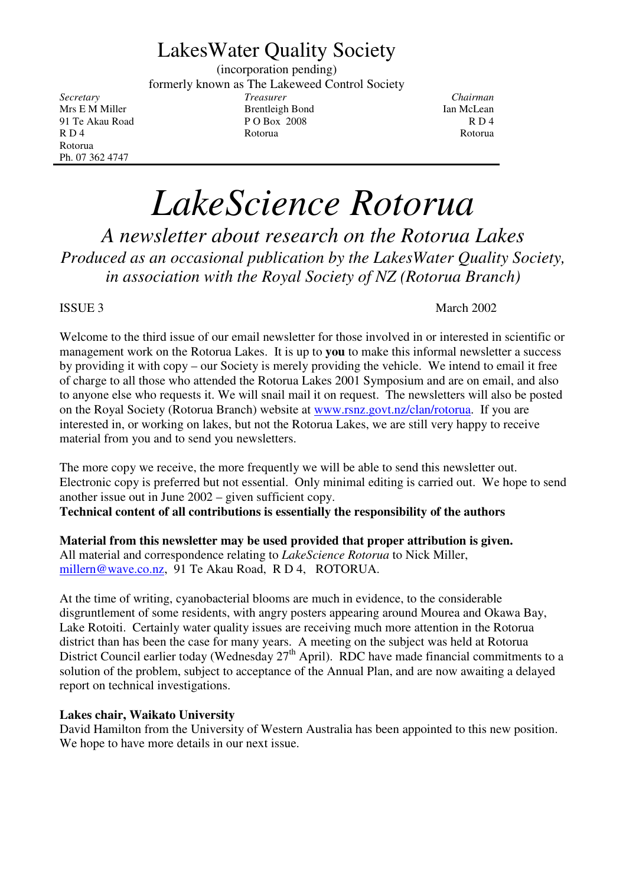## LakesWater Quality Society

(incorporation pending) formerly known as The Lakeweed Control Society *Secretary Treasurer Chairman*

Mrs E M Miller **Brentleigh Bond** Ian McLean 91 Te Akau Road P O Box 2008 R D 4<br>R D 4 R D 4 R O 4 R O 4 R O 6 R O 6 R O 6 R O 6 R O 6 R O 6 R O 6 R O 6 R O 6 R O 6 R O 6 R O 6 R O 6 R O 6 R O R D 4 Rotorua Rotorua Rotorua Rotorua Rotorua Rotorua Rotorua Rotorua Rotorua Rotorua Rotorua Rotorua Rotorua Rotorua Ph. 07 362 4747

# *LakeScience Rotorua*

*A newsletter about research on the Rotorua Lakes Produced as an occasional publication by the LakesWater Quality Society, in association with the Royal Society of NZ (Rotorua Branch)*

#### ISSUE 3 March 2002

Welcome to the third issue of our email newsletter for those involved in or interested in scientific or management work on the Rotorua Lakes. It is up to **you** to make this informal newsletter a success by providing it with copy – our Society is merely providing the vehicle. We intend to email it free of charge to all those who attended the Rotorua Lakes 2001 Symposium and are on email, and also to anyone else who requests it. We will snail mail it on request. The newsletters will also be posted on the Royal Society (Rotorua Branch) website at www.rsnz.govt.nz/clan/rotorua. If you are interested in, or working on lakes, but not the Rotorua Lakes, we are still very happy to receive material from you and to send you newsletters.

The more copy we receive, the more frequently we will be able to send this newsletter out. Electronic copy is preferred but not essential. Only minimal editing is carried out. We hope to send another issue out in June 2002 – given sufficient copy.

**Technical content of all contributions is essentially the responsibility of the authors**

**Material from this newsletter may be used provided that proper attribution is given.** All material and correspondence relating to *LakeScience Rotorua* to Nick Miller, millern@wave.co.nz, 91 Te Akau Road, R D 4, ROTORUA.

At the time of writing, cyanobacterial blooms are much in evidence, to the considerable disgruntlement of some residents, with angry posters appearing around Mourea and Okawa Bay, Lake Rotoiti. Certainly water quality issues are receiving much more attention in the Rotorua district than has been the case for many years. A meeting on the subject was held at Rotorua District Council earlier today (Wednesday 27<sup>th</sup> April). RDC have made financial commitments to a solution of the problem, subject to acceptance of the Annual Plan, and are now awaiting a delayed report on technical investigations.

#### **Lakes chair, Waikato University**

David Hamilton from the University of Western Australia has been appointed to this new position. We hope to have more details in our next issue.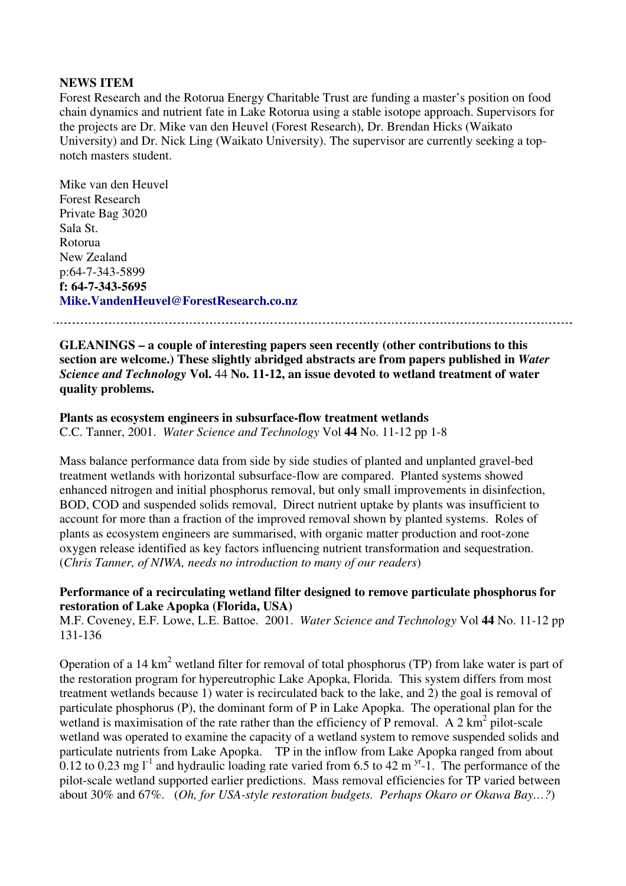#### **NEWS ITEM**

Forest Research and the Rotorua Energy Charitable Trust are funding a master's position on food chain dynamics and nutrient fate in Lake Rotorua using a stable isotope approach. Supervisors for the projects are Dr. Mike van den Heuvel (Forest Research), Dr. Brendan Hicks (Waikato University) and Dr. Nick Ling (Waikato University). The supervisor are currently seeking a topnotch masters student.

Mike van den Heuvel Forest Research Private Bag 3020 Sala St. Rotorua New Zealand p:64-7-343-5899 **f: 64-7-343-5695 Mike.VandenHeuvel@ForestResearch.co.nz**

**GLEANINGS – a couple of interesting papers seen recently (other contributions to this section are welcome.) These slightly abridged abstracts are from papers published in** *Water Science and Technology* **Vol.** 44 **No. 11-12, an issue devoted to wetland treatment of water**

**quality problems.**

### **Plants as ecosystem engineers in subsurface-flow treatment wetlands**

C.C. Tanner, 2001. *Water Science and Technology* Vol **44** No. 11-12 pp 1-8

Mass balance performance data from side by side studies of planted and unplanted gravel-bed treatment wetlands with horizontal subsurface-flow are compared. Planted systems showed enhanced nitrogen and initial phosphorus removal, but only small improvements in disinfection, BOD, COD and suspended solids removal, Direct nutrient uptake by plants was insufficient to account for more than a fraction of the improved removal shown by planted systems. Roles of plants as ecosystem engineers are summarised, with organic matter production and root-zone oxygen release identified as key factors influencing nutrient transformation and sequestration. (*Chris Tanner, of NIWA, needs no introduction to many of our readers*)

#### **Performance of a recirculating wetland filter designed to remove particulate phosphorus for restoration of Lake Apopka (Florida, USA)**

M.F. Coveney, E.F. Lowe, L.E. Battoe. 2001. *Water Science and Technology* Vol **44** No. 11-12 pp 131-136

Operation of a 14  $km^2$  wetland filter for removal of total phosphorus (TP) from lake water is part of the restoration program for hypereutrophic Lake Apopka, Florida. This system differs from most treatment wetlands because 1) water is recirculated back to the lake, and 2) the goal is removal of particulate phosphorus (P), the dominant form of P in Lake Apopka. The operational plan for the wetland is maximisation of the rate rather than the efficiency of P removal. A 2  $\text{km}^2$  pilot-scale wetland was operated to examine the capacity of a wetland system to remove suspended solids and particulate nutrients from Lake Apopka. TP in the inflow from Lake Apopka ranged from about  $0.12$  to 0.23 mg l<sup>-1</sup> and hydraulic loading rate varied from 6.5 to 42 m <sup>yr</sup>-1. The performance of the pilot-scale wetland supported earlier predictions. Mass removal efficiencies for TP varied between about 30% and 67%. (*Oh, for USA-style restoration budgets. Perhaps Okaro or Okawa Bay…?*)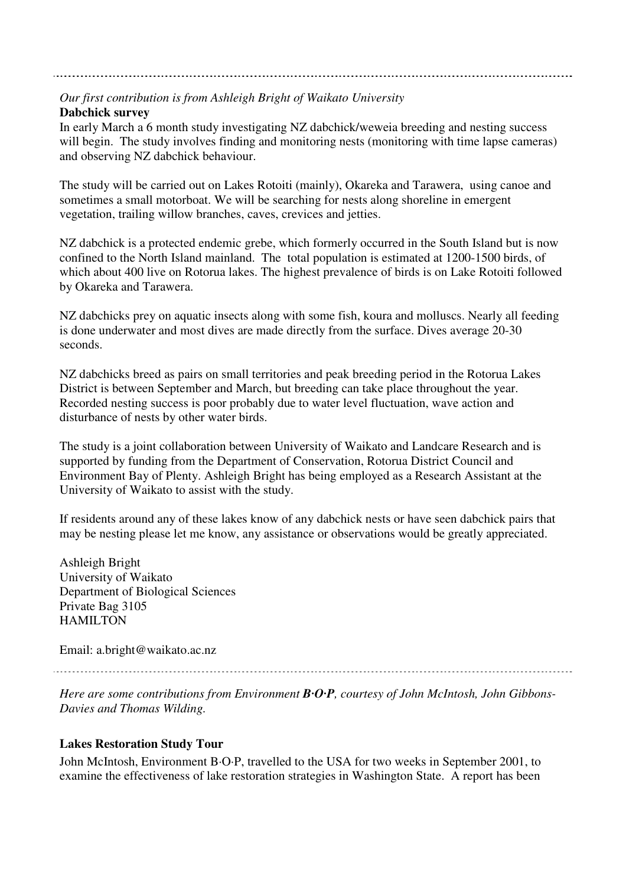### *Our first contribution is from Ashleigh Bright of Waikato University*

#### **Dabchick survey**

In early March a 6 month study investigating NZ dabchick/weweia breeding and nesting success will begin. The study involves finding and monitoring nests (monitoring with time lapse cameras) and observing NZ dabchick behaviour.

The study will be carried out on Lakes Rotoiti (mainly), Okareka and Tarawera, using canoe and sometimes a small motorboat. We will be searching for nests along shoreline in emergent vegetation, trailing willow branches, caves, crevices and jetties.

NZ dabchick is a protected endemic grebe, which formerly occurred in the South Island but is now confined to the North Island mainland. The total population is estimated at 1200-1500 birds, of which about 400 live on Rotorua lakes. The highest prevalence of birds is on Lake Rotoiti followed by Okareka and Tarawera.

NZ dabchicks prey on aquatic insects along with some fish, koura and molluscs. Nearly all feeding is done underwater and most dives are made directly from the surface. Dives average 20-30 seconds.

NZ dabchicks breed as pairs on small territories and peak breeding period in the Rotorua Lakes District is between September and March, but breeding can take place throughout the year. Recorded nesting success is poor probably due to water level fluctuation, wave action and disturbance of nests by other water birds.

The study is a joint collaboration between University of Waikato and Landcare Research and is supported by funding from the Department of Conservation, Rotorua District Council and Environment Bay of Plenty. Ashleigh Bright has being employed as a Research Assistant at the University of Waikato to assist with the study.

If residents around any of these lakes know of any dabchick nests or have seen dabchick pairs that may be nesting please let me know, any assistance or observations would be greatly appreciated.

Ashleigh Bright University of Waikato Department of Biological Sciences Private Bag 3105 HAMILTON

Email: a.bright@waikato.ac.nz

*Here are some contributions from Environment B·O·P, courtesy of John McIntosh, John Gibbons-Davies and Thomas Wilding.*

#### **Lakes Restoration Study Tour**

John McIntosh, Environment B·O·P, travelled to the USA for two weeks in September 2001, to examine the effectiveness of lake restoration strategies in Washington State. A report has been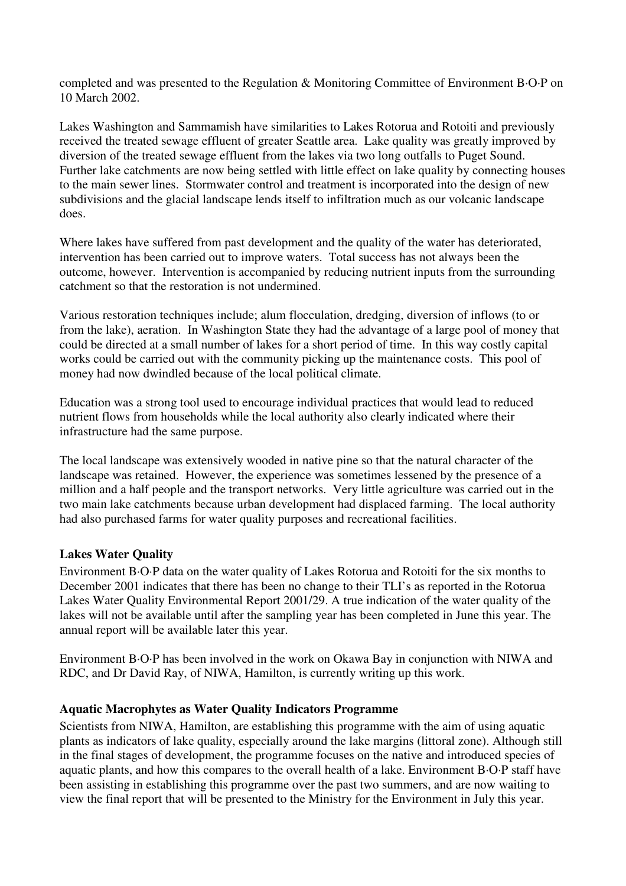completed and was presented to the Regulation & Monitoring Committee of Environment B·O·P on 10 March 2002.

Lakes Washington and Sammamish have similarities to Lakes Rotorua and Rotoiti and previously received the treated sewage effluent of greater Seattle area. Lake quality was greatly improved by diversion of the treated sewage effluent from the lakes via two long outfalls to Puget Sound. Further lake catchments are now being settled with little effect on lake quality by connecting houses to the main sewer lines. Stormwater control and treatment is incorporated into the design of new subdivisions and the glacial landscape lends itself to infiltration much as our volcanic landscape does.

Where lakes have suffered from past development and the quality of the water has deteriorated, intervention has been carried out to improve waters. Total success has not always been the outcome, however. Intervention is accompanied by reducing nutrient inputs from the surrounding catchment so that the restoration is not undermined.

Various restoration techniques include; alum flocculation, dredging, diversion of inflows (to or from the lake), aeration. In Washington State they had the advantage of a large pool of money that could be directed at a small number of lakes for a short period of time. In this way costly capital works could be carried out with the community picking up the maintenance costs. This pool of money had now dwindled because of the local political climate.

Education was a strong tool used to encourage individual practices that would lead to reduced nutrient flows from households while the local authority also clearly indicated where their infrastructure had the same purpose.

The local landscape was extensively wooded in native pine so that the natural character of the landscape was retained. However, the experience was sometimes lessened by the presence of a million and a half people and the transport networks. Very little agriculture was carried out in the two main lake catchments because urban development had displaced farming. The local authority had also purchased farms for water quality purposes and recreational facilities.

#### **Lakes Water Quality**

Environment B·O·P data on the water quality of Lakes Rotorua and Rotoiti for the six months to December 2001 indicates that there has been no change to their TLI's as reported in the Rotorua Lakes Water Quality Environmental Report 2001/29. A true indication of the water quality of the lakes will not be available until after the sampling year has been completed in June this year. The annual report will be available later this year.

Environment B·O·P has been involved in the work on Okawa Bay in conjunction with NIWA and RDC, and Dr David Ray, of NIWA, Hamilton, is currently writing up this work.

#### **Aquatic Macrophytes as Water Quality Indicators Programme**

Scientists from NIWA, Hamilton, are establishing this programme with the aim of using aquatic plants as indicators of lake quality, especially around the lake margins (littoral zone). Although still in the final stages of development, the programme focuses on the native and introduced species of aquatic plants, and how this compares to the overall health of a lake. Environment B·O·P staff have been assisting in establishing this programme over the past two summers, and are now waiting to view the final report that will be presented to the Ministry for the Environment in July this year.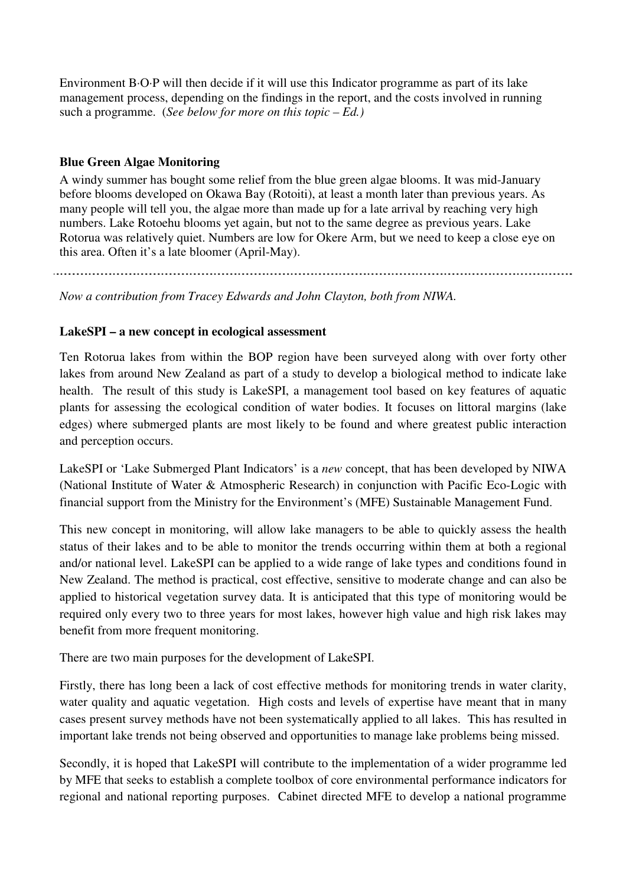Environment B·O·P will then decide if it will use this Indicator programme as part of its lake management process, depending on the findings in the report, and the costs involved in running such a programme. (*See below for more on this topic – Ed.)*

#### **Blue Green Algae Monitoring**

A windy summer has bought some relief from the blue green algae blooms. It was mid-January before blooms developed on Okawa Bay (Rotoiti), at least a month later than previous years. As many people will tell you, the algae more than made up for a late arrival by reaching very high numbers. Lake Rotoehu blooms yet again, but not to the same degree as previous years. Lake Rotorua was relatively quiet. Numbers are low for Okere Arm, but we need to keep a close eye on this area. Often it's a late bloomer (April-May).

*Now a contribution from Tracey Edwards and John Clayton, both from NIWA.*

#### **LakeSPI – a new concept in ecological assessment**

Ten Rotorua lakes from within the BOP region have been surveyed along with over forty other lakes from around New Zealand as part of a study to develop a biological method to indicate lake health. The result of this study is LakeSPI, a management tool based on key features of aquatic plants for assessing the ecological condition of water bodies. It focuses on littoral margins (lake edges) where submerged plants are most likely to be found and where greatest public interaction and perception occurs.

LakeSPI or 'Lake Submerged Plant Indicators' is a *new* concept, that has been developed by NIWA (National Institute of Water & Atmospheric Research) in conjunction with Pacific Eco-Logic with financial support from the Ministry for the Environment's (MFE) Sustainable Management Fund.

This new concept in monitoring, will allow lake managers to be able to quickly assess the health status of their lakes and to be able to monitor the trends occurring within them at both a regional and/or national level. LakeSPI can be applied to a wide range of lake types and conditions found in New Zealand. The method is practical, cost effective, sensitive to moderate change and can also be applied to historical vegetation survey data. It is anticipated that this type of monitoring would be required only every two to three years for most lakes, however high value and high risk lakes may benefit from more frequent monitoring.

There are two main purposes for the development of LakeSPI.

Firstly, there has long been a lack of cost effective methods for monitoring trends in water clarity, water quality and aquatic vegetation. High costs and levels of expertise have meant that in many cases present survey methods have not been systematically applied to all lakes. This has resulted in important lake trends not being observed and opportunities to manage lake problems being missed.

Secondly, it is hoped that LakeSPI will contribute to the implementation of a wider programme led by MFE that seeks to establish a complete toolbox of core environmental performance indicators for regional and national reporting purposes. Cabinet directed MFE to develop a national programme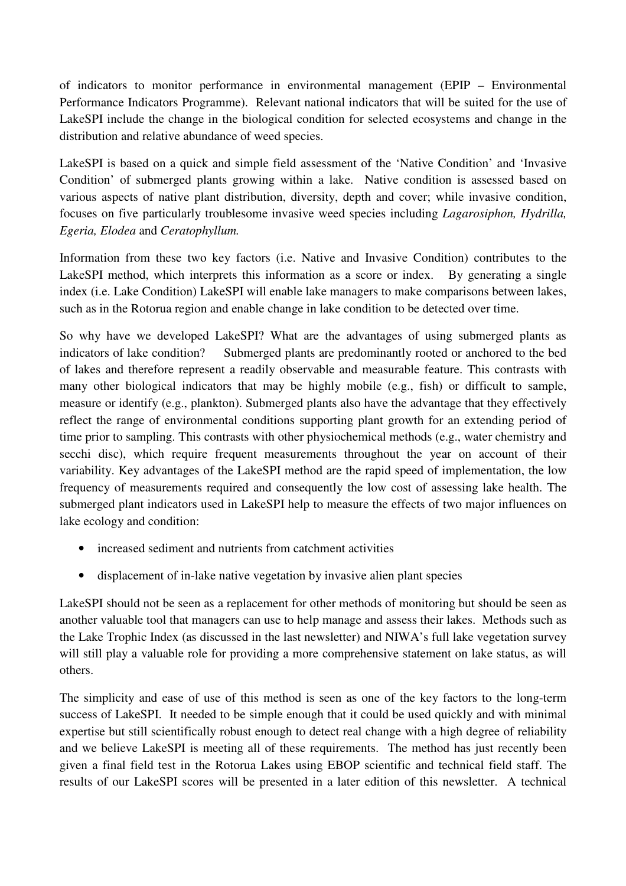of indicators to monitor performance in environmental management (EPIP – Environmental Performance Indicators Programme). Relevant national indicators that will be suited for the use of LakeSPI include the change in the biological condition for selected ecosystems and change in the distribution and relative abundance of weed species.

LakeSPI is based on a quick and simple field assessment of the 'Native Condition' and 'Invasive Condition' of submerged plants growing within a lake. Native condition is assessed based on various aspects of native plant distribution, diversity, depth and cover; while invasive condition, focuses on five particularly troublesome invasive weed species including *Lagarosiphon, Hydrilla, Egeria, Elodea* and *Ceratophyllum.*

Information from these two key factors (i.e. Native and Invasive Condition) contributes to the LakeSPI method, which interprets this information as a score or index. By generating a single index (i.e. Lake Condition) LakeSPI will enable lake managers to make comparisons between lakes, such as in the Rotorua region and enable change in lake condition to be detected over time.

So why have we developed LakeSPI? What are the advantages of using submerged plants as indicators of lake condition? Submerged plants are predominantly rooted or anchored to the bed of lakes and therefore represent a readily observable and measurable feature. This contrasts with many other biological indicators that may be highly mobile (e.g., fish) or difficult to sample, measure or identify (e.g., plankton). Submerged plants also have the advantage that they effectively reflect the range of environmental conditions supporting plant growth for an extending period of time prior to sampling. This contrasts with other physiochemical methods (e.g., water chemistry and secchi disc), which require frequent measurements throughout the year on account of their variability. Key advantages of the LakeSPI method are the rapid speed of implementation, the low frequency of measurements required and consequently the low cost of assessing lake health. The submerged plant indicators used in LakeSPI help to measure the effects of two major influences on lake ecology and condition:

- increased sediment and nutrients from catchment activities
- displacement of in-lake native vegetation by invasive alien plant species

LakeSPI should not be seen as a replacement for other methods of monitoring but should be seen as another valuable tool that managers can use to help manage and assess their lakes. Methods such as the Lake Trophic Index (as discussed in the last newsletter) and NIWA's full lake vegetation survey will still play a valuable role for providing a more comprehensive statement on lake status, as will others.

The simplicity and ease of use of this method is seen as one of the key factors to the long-term success of LakeSPI. It needed to be simple enough that it could be used quickly and with minimal expertise but still scientifically robust enough to detect real change with a high degree of reliability and we believe LakeSPI is meeting all of these requirements. The method has just recently been given a final field test in the Rotorua Lakes using EBOP scientific and technical field staff. The results of our LakeSPI scores will be presented in a later edition of this newsletter. A technical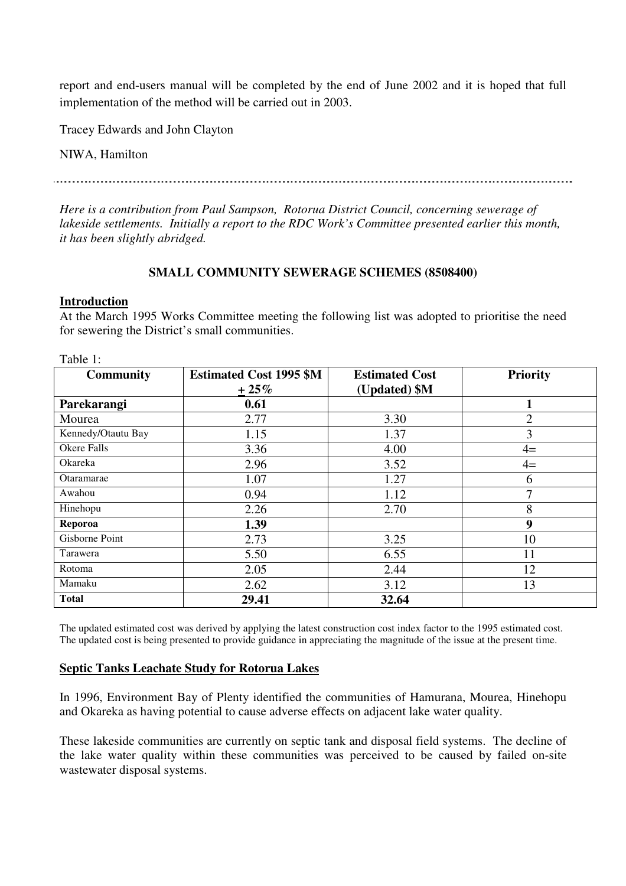report and end-users manual will be completed by the end of June 2002 and it is hoped that full implementation of the method will be carried out in 2003.

Tracey Edwards and John Clayton

NIWA, Hamilton

*Here is a contribution from Paul Sampson, Rotorua District Council, concerning sewerage of lakeside settlements. Initially a report to the RDC Work's Committee presented earlier this month, it has been slightly abridged.*

#### **SMALL COMMUNITY SEWERAGE SCHEMES (8508400)**

#### **Introduction**

Table 1:

At the March 1995 Works Committee meeting the following list was adopted to prioritise the need for sewering the District's small communities.

| <b>Community</b>   | <b>Estimated Cost 1995 \$M</b> | <b>Estimated Cost</b> | <b>Priority</b> |
|--------------------|--------------------------------|-----------------------|-----------------|
|                    | $+25%$                         | (Updated) \$M         |                 |
| Parekarangi        | 0.61                           |                       |                 |
| Mourea             | 2.77                           | 3.30                  | 2               |
| Kennedy/Otautu Bay | 1.15                           | 1.37                  | 3               |
| Okere Falls        | 3.36                           | 4.00                  | $4=$            |
| Okareka            | 2.96                           | 3.52                  | $4=$            |
| Otaramarae         | 1.07                           | 1.27                  | 6               |
| Awahou             | 0.94                           | 1.12                  | 7               |
| Hinehopu           | 2.26                           | 2.70                  | 8               |
| Reporoa            | 1.39                           |                       | 9               |
| Gisborne Point     | 2.73                           | 3.25                  | 10              |
| Tarawera           | 5.50                           | 6.55                  | 11              |
| Rotoma             | 2.05                           | 2.44                  | 12              |
| Mamaku             | 2.62                           | 3.12                  | 13              |
| <b>Total</b>       | 29.41                          | 32.64                 |                 |

The updated estimated cost was derived by applying the latest construction cost index factor to the 1995 estimated cost. The updated cost is being presented to provide guidance in appreciating the magnitude of the issue at the present time.

#### **Septic Tanks Leachate Study for Rotorua Lakes**

In 1996, Environment Bay of Plenty identified the communities of Hamurana, Mourea, Hinehopu and Okareka as having potential to cause adverse effects on adjacent lake water quality.

These lakeside communities are currently on septic tank and disposal field systems. The decline of the lake water quality within these communities was perceived to be caused by failed on-site wastewater disposal systems.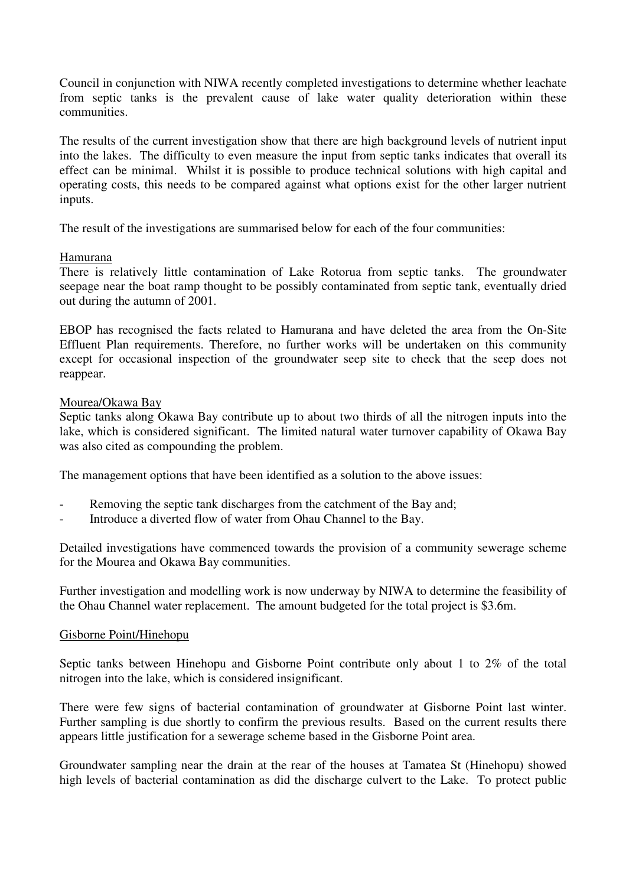Council in conjunction with NIWA recently completed investigations to determine whether leachate from septic tanks is the prevalent cause of lake water quality deterioration within these communities.

The results of the current investigation show that there are high background levels of nutrient input into the lakes. The difficulty to even measure the input from septic tanks indicates that overall its effect can be minimal. Whilst it is possible to produce technical solutions with high capital and operating costs, this needs to be compared against what options exist for the other larger nutrient inputs.

The result of the investigations are summarised below for each of the four communities:

#### Hamurana

There is relatively little contamination of Lake Rotorua from septic tanks. The groundwater seepage near the boat ramp thought to be possibly contaminated from septic tank, eventually dried out during the autumn of 2001.

EBOP has recognised the facts related to Hamurana and have deleted the area from the On-Site Effluent Plan requirements. Therefore, no further works will be undertaken on this community except for occasional inspection of the groundwater seep site to check that the seep does not reappear.

#### Mourea/Okawa Bay

Septic tanks along Okawa Bay contribute up to about two thirds of all the nitrogen inputs into the lake, which is considered significant. The limited natural water turnover capability of Okawa Bay was also cited as compounding the problem.

The management options that have been identified as a solution to the above issues:

- Removing the septic tank discharges from the catchment of the Bay and;
- Introduce a diverted flow of water from Ohau Channel to the Bay.

Detailed investigations have commenced towards the provision of a community sewerage scheme for the Mourea and Okawa Bay communities.

Further investigation and modelling work is now underway by NIWA to determine the feasibility of the Ohau Channel water replacement. The amount budgeted for the total project is \$3.6m.

#### Gisborne Point/Hinehopu

Septic tanks between Hinehopu and Gisborne Point contribute only about 1 to 2% of the total nitrogen into the lake, which is considered insignificant.

There were few signs of bacterial contamination of groundwater at Gisborne Point last winter. Further sampling is due shortly to confirm the previous results. Based on the current results there appears little justification for a sewerage scheme based in the Gisborne Point area.

Groundwater sampling near the drain at the rear of the houses at Tamatea St (Hinehopu) showed high levels of bacterial contamination as did the discharge culvert to the Lake. To protect public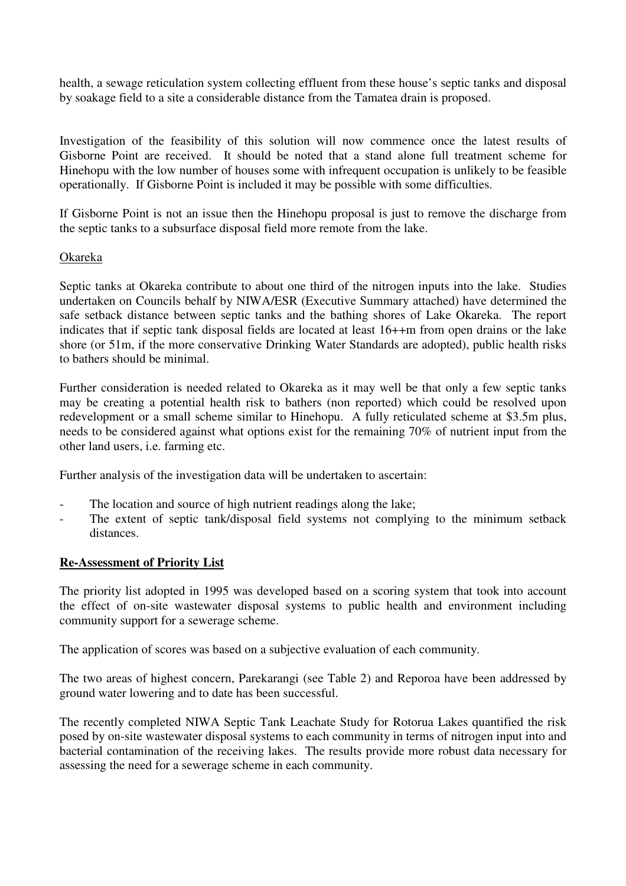health, a sewage reticulation system collecting effluent from these house's septic tanks and disposal by soakage field to a site a considerable distance from the Tamatea drain is proposed.

Investigation of the feasibility of this solution will now commence once the latest results of Gisborne Point are received. It should be noted that a stand alone full treatment scheme for Hinehopu with the low number of houses some with infrequent occupation is unlikely to be feasible operationally. If Gisborne Point is included it may be possible with some difficulties.

If Gisborne Point is not an issue then the Hinehopu proposal is just to remove the discharge from the septic tanks to a subsurface disposal field more remote from the lake.

#### Okareka

Septic tanks at Okareka contribute to about one third of the nitrogen inputs into the lake. Studies undertaken on Councils behalf by NIWA/ESR (Executive Summary attached) have determined the safe setback distance between septic tanks and the bathing shores of Lake Okareka. The report indicates that if septic tank disposal fields are located at least 16++m from open drains or the lake shore (or 51m, if the more conservative Drinking Water Standards are adopted), public health risks to bathers should be minimal.

Further consideration is needed related to Okareka as it may well be that only a few septic tanks may be creating a potential health risk to bathers (non reported) which could be resolved upon redevelopment or a small scheme similar to Hinehopu. A fully reticulated scheme at \$3.5m plus, needs to be considered against what options exist for the remaining 70% of nutrient input from the other land users, i.e. farming etc.

Further analysis of the investigation data will be undertaken to ascertain:

- The location and source of high nutrient readings along the lake;
- The extent of septic tank/disposal field systems not complying to the minimum setback distances.

#### **Re-Assessment of Priority List**

The priority list adopted in 1995 was developed based on a scoring system that took into account the effect of on-site wastewater disposal systems to public health and environment including community support for a sewerage scheme.

The application of scores was based on a subjective evaluation of each community.

The two areas of highest concern, Parekarangi (see Table 2) and Reporoa have been addressed by ground water lowering and to date has been successful.

The recently completed NIWA Septic Tank Leachate Study for Rotorua Lakes quantified the risk posed by on-site wastewater disposal systems to each community in terms of nitrogen input into and bacterial contamination of the receiving lakes. The results provide more robust data necessary for assessing the need for a sewerage scheme in each community.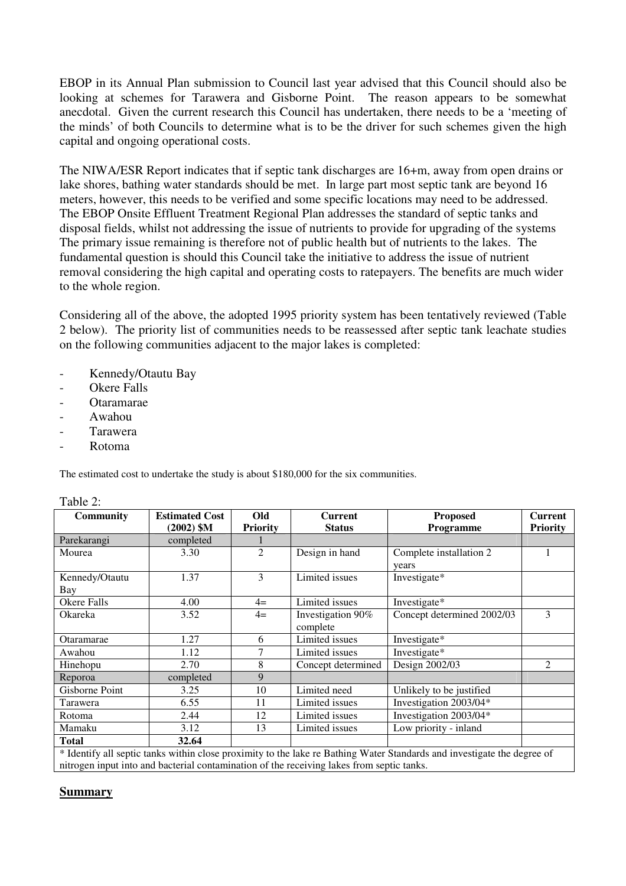EBOP in its Annual Plan submission to Council last year advised that this Council should also be looking at schemes for Tarawera and Gisborne Point. The reason appears to be somewhat anecdotal. Given the current research this Council has undertaken, there needs to be a 'meeting of the minds' of both Councils to determine what is to be the driver for such schemes given the high capital and ongoing operational costs.

The NIWA/ESR Report indicates that if septic tank discharges are 16+m, away from open drains or lake shores, bathing water standards should be met. In large part most septic tank are beyond 16 meters, however, this needs to be verified and some specific locations may need to be addressed. The EBOP Onsite Effluent Treatment Regional Plan addresses the standard of septic tanks and disposal fields, whilst not addressing the issue of nutrients to provide for upgrading of the systems The primary issue remaining is therefore not of public health but of nutrients to the lakes. The fundamental question is should this Council take the initiative to address the issue of nutrient removal considering the high capital and operating costs to ratepayers. The benefits are much wider to the whole region.

Considering all of the above, the adopted 1995 priority system has been tentatively reviewed (Table 2 below). The priority list of communities needs to be reassessed after septic tank leachate studies on the following communities adjacent to the major lakes is completed:

- Kennedy/Otautu Bay
- Okere Falls
- Otaramarae
- Awahou
- **Tarawera**
- Rotoma

The estimated cost to undertake the study is about \$180,000 for the six communities.

| <b>Community</b>                                                                                                        | <b>Estimated Cost</b> | Old             | <b>Current</b>     | <b>Proposed</b>            | <b>Current</b>  |  |  |
|-------------------------------------------------------------------------------------------------------------------------|-----------------------|-----------------|--------------------|----------------------------|-----------------|--|--|
|                                                                                                                         | $(2002)$ \$M          | <b>Priority</b> | <b>Status</b>      | Programme                  | <b>Priority</b> |  |  |
| Parekarangi                                                                                                             | completed             |                 |                    |                            |                 |  |  |
| Mourea                                                                                                                  | 3.30                  | 2               | Design in hand     | Complete installation 2    |                 |  |  |
|                                                                                                                         |                       |                 |                    | years                      |                 |  |  |
| Kennedy/Otautu                                                                                                          | 1.37                  | 3               | Limited issues     | Investigate*               |                 |  |  |
| Bay                                                                                                                     |                       |                 |                    |                            |                 |  |  |
| <b>Okere Falls</b>                                                                                                      | 4.00                  | $4=$            | Limited issues     | Investigate*               |                 |  |  |
| Okareka                                                                                                                 | 3.52                  | $4=$            | Investigation 90%  | Concept determined 2002/03 | 3               |  |  |
|                                                                                                                         |                       |                 | complete           |                            |                 |  |  |
| Otaramarae                                                                                                              | 1.27                  | 6               | Limited issues     | Investigate*               |                 |  |  |
| Awahou                                                                                                                  | 1.12                  | 7               | Limited issues     | Investigate*               |                 |  |  |
| Hinehopu                                                                                                                | 2.70                  | 8               | Concept determined | Design 2002/03             | 2               |  |  |
| Reporoa                                                                                                                 | completed             | 9               |                    |                            |                 |  |  |
| Gisborne Point                                                                                                          | 3.25                  | 10              | Limited need       | Unlikely to be justified   |                 |  |  |
| Tarawera                                                                                                                | 6.55                  | 11              | Limited issues     | Investigation 2003/04*     |                 |  |  |
| Rotoma                                                                                                                  | 2.44                  | 12              | Limited issues     | Investigation 2003/04*     |                 |  |  |
| Mamaku                                                                                                                  | 3.12                  | 13              | Limited issues     | Low priority - inland      |                 |  |  |
| <b>Total</b>                                                                                                            | 32.64                 |                 |                    |                            |                 |  |  |
| * Identify all septic tanks within close proximity to the lake re Bathing Water Standards and investigate the degree of |                       |                 |                    |                            |                 |  |  |
| nitrogen input into and bacterial contamination of the receiving lakes from septic tanks.                               |                       |                 |                    |                            |                 |  |  |

#### Table 2.

#### **Summary**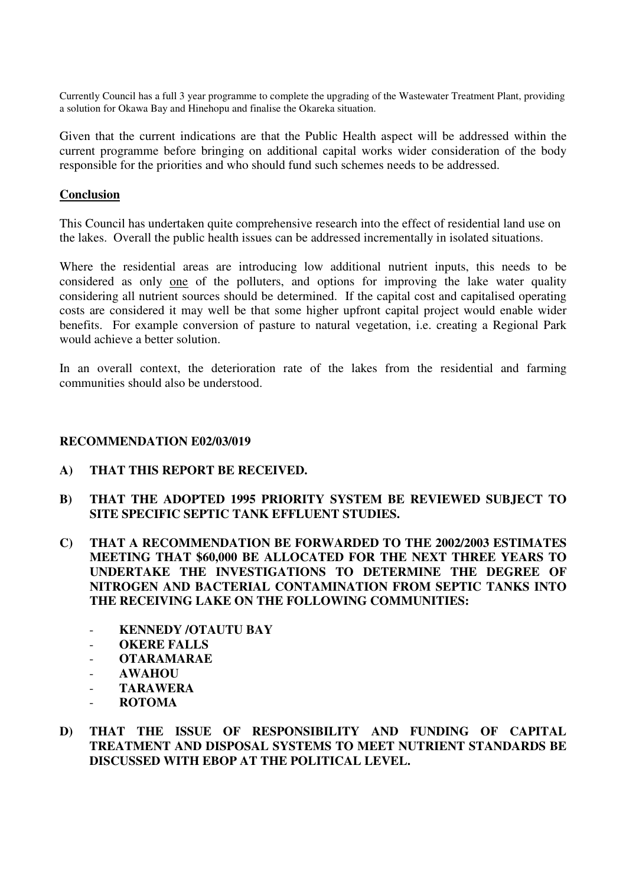Currently Council has a full 3 year programme to complete the upgrading of the Wastewater Treatment Plant, providing a solution for Okawa Bay and Hinehopu and finalise the Okareka situation.

Given that the current indications are that the Public Health aspect will be addressed within the current programme before bringing on additional capital works wider consideration of the body responsible for the priorities and who should fund such schemes needs to be addressed.

#### **Conclusion**

This Council has undertaken quite comprehensive research into the effect of residential land use on the lakes. Overall the public health issues can be addressed incrementally in isolated situations.

Where the residential areas are introducing low additional nutrient inputs, this needs to be considered as only one of the polluters, and options for improving the lake water quality considering all nutrient sources should be determined. If the capital cost and capitalised operating costs are considered it may well be that some higher upfront capital project would enable wider benefits. For example conversion of pasture to natural vegetation, i.e. creating a Regional Park would achieve a better solution.

In an overall context, the deterioration rate of the lakes from the residential and farming communities should also be understood.

#### **RECOMMENDATION E02/03/019**

- **A) THAT THIS REPORT BE RECEIVED.**
- **B) THAT THE ADOPTED 1995 PRIORITY SYSTEM BE REVIEWED SUBJECT TO SITE SPECIFIC SEPTIC TANK EFFLUENT STUDIES.**
- **C) THAT A RECOMMENDATION BE FORWARDED TO THE 2002/2003 ESTIMATES MEETING THAT \$60,000 BE ALLOCATED FOR THE NEXT THREE YEARS TO UNDERTAKE THE INVESTIGATIONS TO DETERMINE THE DEGREE OF NITROGEN AND BACTERIAL CONTAMINATION FROM SEPTIC TANKS INTO THE RECEIVING LAKE ON THE FOLLOWING COMMUNITIES:**
	- **KENNEDY /OTAUTU BAY**
	- **OKERE FALLS**
	- **OTARAMARAE**
	- **AWAHOU**
	- **TARAWERA**
	- **ROTOMA**
- **D) THAT THE ISSUE OF RESPONSIBILITY AND FUNDING OF CAPITAL TREATMENT AND DISPOSAL SYSTEMS TO MEET NUTRIENT STANDARDS BE DISCUSSED WITH EBOP AT THE POLITICAL LEVEL.**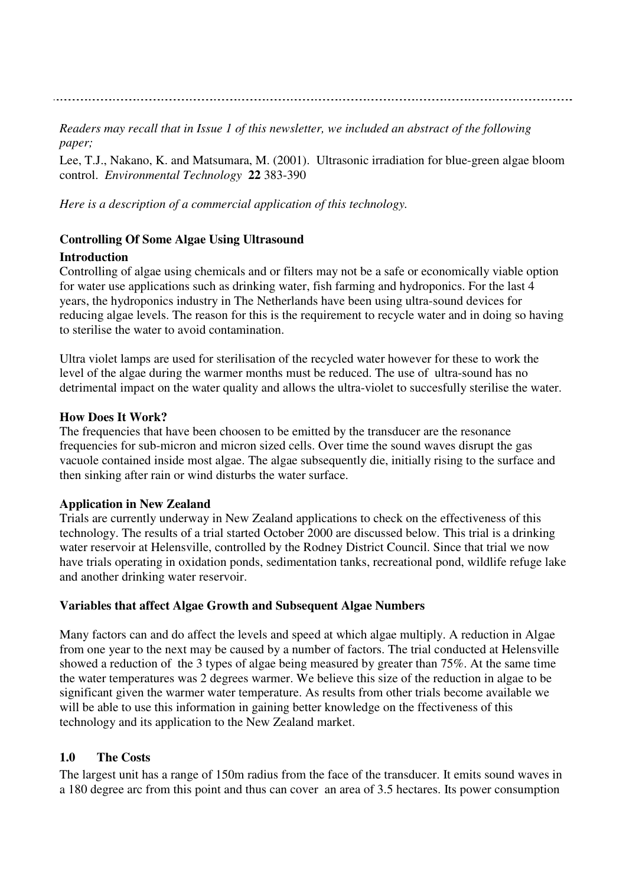*Readers may recall that in Issue 1 of this newsletter, we included an abstract of the following paper;*

Lee, T.J., Nakano, K. and Matsumara, M. (2001). Ultrasonic irradiation for blue-green algae bloom control. *Environmental Technology* **22** 383-390

*Here is a description of a commercial application of this technology.*

#### **Controlling Of Some Algae Using Ultrasound**

#### **Introduction**

Controlling of algae using chemicals and or filters may not be a safe or economically viable option for water use applications such as drinking water, fish farming and hydroponics. For the last 4 years, the hydroponics industry in The Netherlands have been using ultra-sound devices for reducing algae levels. The reason for this is the requirement to recycle water and in doing so having to sterilise the water to avoid contamination.

Ultra violet lamps are used for sterilisation of the recycled water however for these to work the level of the algae during the warmer months must be reduced. The use of ultra-sound has no detrimental impact on the water quality and allows the ultra-violet to succesfully sterilise the water.

#### **How Does It Work?**

The frequencies that have been choosen to be emitted by the transducer are the resonance frequencies for sub-micron and micron sized cells. Over time the sound waves disrupt the gas vacuole contained inside most algae. The algae subsequently die, initially rising to the surface and then sinking after rain or wind disturbs the water surface.

#### **Application in New Zealand**

Trials are currently underway in New Zealand applications to check on the effectiveness of this technology. The results of a trial started October 2000 are discussed below. This trial is a drinking water reservoir at Helensville, controlled by the Rodney District Council. Since that trial we now have trials operating in oxidation ponds, sedimentation tanks, recreational pond, wildlife refuge lake and another drinking water reservoir.

#### **Variables that affect Algae Growth and Subsequent Algae Numbers**

Many factors can and do affect the levels and speed at which algae multiply. A reduction in Algae from one year to the next may be caused by a number of factors. The trial conducted at Helensville showed a reduction of the 3 types of algae being measured by greater than 75%. At the same time the water temperatures was 2 degrees warmer. We believe this size of the reduction in algae to be significant given the warmer water temperature. As results from other trials become available we will be able to use this information in gaining better knowledge on the ffectiveness of this technology and its application to the New Zealand market.

#### **1.0 The Costs**

The largest unit has a range of 150m radius from the face of the transducer. It emits sound waves in a 180 degree arc from this point and thus can cover an area of 3.5 hectares. Its power consumption